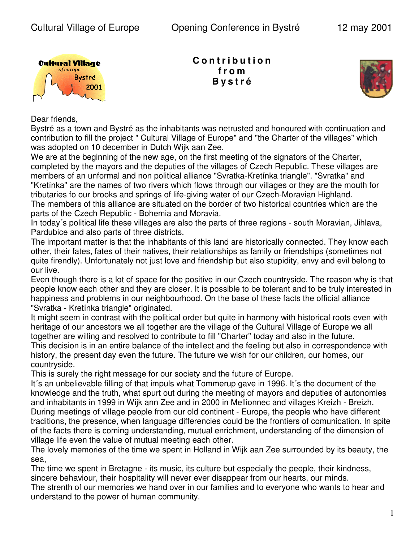

**C o n t r i b u t i o n f r o m B y s t r é**



Dear friends,

Bystré as a town and Bystré as the inhabitants was netrusted and honoured with continuation and contribution to fill the project " Cultural Village of Europe" and "the Charter of the villages" which was adopted on 10 december in Dutch Wijk aan Zee.

We are at the beginning of the new age, on the first meeting of the signators of the Charter, completed by the mayors and the deputies of the villages of Czech Republic. These villages are members of an unformal and non political alliance "Svratka-Kretínka triangle". "Svratka" and "Kretínka" are the names of two rivers which flows through our villages or they are the mouth for tributaries fo our brooks and springs of life-giving water of our Czech-Moravian Highland. The members of this alliance are situated on the border of two historical countries which are the parts of the Czech Republic - Bohemia and Moravia.

In today´s political life these villages are also the parts of three regions - south Moravian, Jihlava, Pardubice and also parts of three districts.

The important matter is that the inhabitants of this land are historically connected. They know each other, their fates, fates of their natives, their relationships as family or friendships (sometimes not quite firendly). Unfortunately not just love and friendship but also stupidity, envy and evil belong to our live.

Even though there is a lot of space for the positive in our Czech countryside. The reason why is that people know each other and they are closer. It is possible to be tolerant and to be truly interested in happiness and problems in our neighbourhood. On the base of these facts the official alliance "Svratka - Kretínka triangle" originated.

It might seem in contrast with the political order but quite in harmony with historical roots even with heritage of our ancestors we all together are the village of the Cultural Village of Europe we all together are willing and resolved to contribute to fill "Charter" today and also in the future. This decision is in an entire balance of the intellect and the feeling but also in correspondence with history, the present day even the future. The future we wish for our children, our homes, our countryside.

This is surely the right message for our society and the future of Europe.

It´s an unbelievable filling of that impuls what Tommerup gave in 1996. It´s the document of the knowledge and the truth, what spurt out during the meeting of mayors and deputies of autonomies and inhabitants in 1999 in Wijk ann Zee and in 2000 in Mellionnec and villages Kreizh - Breizh. During meetings of village people from our old continent - Europe, the people who have different traditions, the presence, when language differencies could be the frontiers of comunication. In spite of the facts there is coming understanding, mutual enrichment, understanding of the dimension of village life even the value of mutual meeting each other.

The lovely memories of the time we spent in Holland in Wijk aan Zee surrounded by its beauty, the sea,

The time we spent in Bretagne - its music, its culture but especially the people, their kindness, sincere behaviour, their hospitality will never ever disappear from our hearts, our minds.

The strenth of our memories we hand over in our families and to everyone who wants to hear and understand to the power of human community.